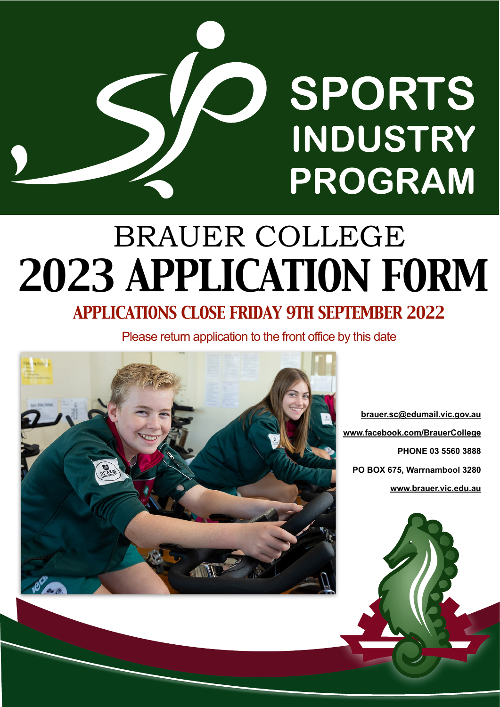# SPORTS INDUSTRY PROGRAM

## *2023 APPLICATION FORM* BRAUER COLLEGE

### *APPLICATIONS CLOSE FRIDAY 9TH SEPTEMBER 2022*

Please return application to the front office by this date



**[brauer.sc@edumail.vic.gov.au](mailto:brauer.sc@edumail.vic.gov.au) [www.facebook.com/BrauerCollege](http://www.facebook.com/BrauerCollege) PHONE 03 5560 3888 PO BOX 675, Warrnambool 3280 [www.brauer.vic.edu.au](http://www.brauer.vic.edu.au)**

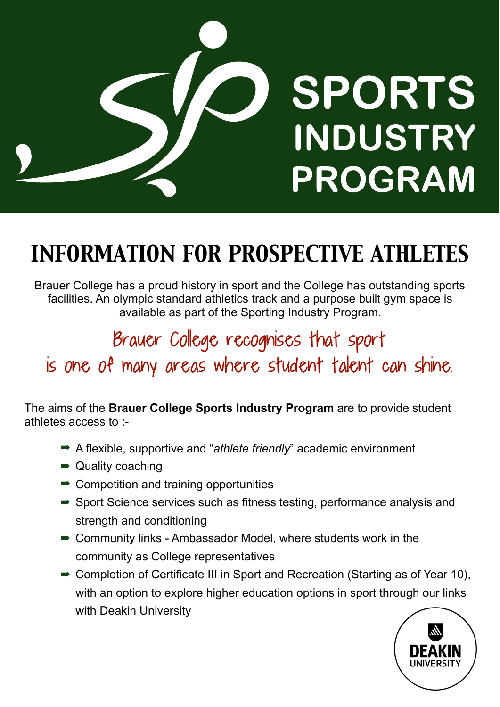# SPORTS INDUSTRY PROGRAM

## *INFORMATION FOR PROSPECTIVE ATHLETES*

Brauer College has a proud history in sport and the College has outstanding sports facilities. An olympic standard athletics track and a purpose built gym space is available as part of the Sporting Industry Program.

## Brauer College recognises that sport is one of many areas where student talent can shine.

The aims of the **Brauer College Sports Industry Program** are to provide student athletes access to :-

- ➡ A flexible, supportive and "*athlete friendly*" academic environment
- $\rightarrow$  Quality coaching
- $\rightarrow$  Competition and training opportunities
- **→ Sport Science services such as fitness testing, performance analysis and** strength and conditioning
- ➡ Community links Ambassador Model, where students work in the community as College representatives
- ➡ Completion of Certificate III in Sport and Recreation (Starting as of Year 10), with an option to explore higher education options in sport through our links with Deakin University

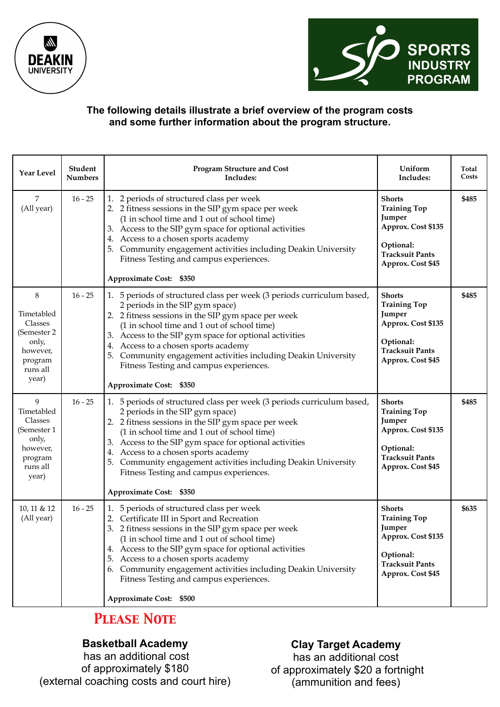



#### **The following details illustrate a brief overview of the program costs and some further information about the program structure.**

| <b>Year Level</b>                                                                              | <b>Student</b><br><b>Numbers</b> | <b>Program Structure and Cost</b><br>Includes:                                                                                                                                                                                                                                                                                                                                                                                                                      | Uniform<br>Includes:                                                                                                             | Total<br>Costs |
|------------------------------------------------------------------------------------------------|----------------------------------|---------------------------------------------------------------------------------------------------------------------------------------------------------------------------------------------------------------------------------------------------------------------------------------------------------------------------------------------------------------------------------------------------------------------------------------------------------------------|----------------------------------------------------------------------------------------------------------------------------------|----------------|
| 7<br>(All year)                                                                                | $16 - 25$                        | 1. 2 periods of structured class per week<br>2. 2 fitness sessions in the SIP gym space per week<br>(1 in school time and 1 out of school time)<br>3. Access to the SIP gym space for optional activities<br>4. Access to a chosen sports academy<br>5. Community engagement activities including Deakin University<br>Fitness Testing and campus experiences.<br><b>Approximate Cost: \$350</b>                                                                    | <b>Shorts</b><br><b>Training Top</b><br>Jumper<br>Approx. Cost \$135<br>Optional:<br><b>Tracksuit Pants</b><br>Approx. Cost \$45 | \$485          |
| 8<br>Timetabled<br>Classes<br>(Semester 2<br>only,<br>however,<br>program<br>runs all<br>year) | $16 - 25$                        | 1. 5 periods of structured class per week (3 periods curriculum based,<br>2 periods in the SIP gym space)<br>2. 2 fitness sessions in the SIP gym space per week<br>(1 in school time and 1 out of school time)<br>3. Access to the SIP gym space for optional activities<br>4. Access to a chosen sports academy<br>Community engagement activities including Deakin University<br>5.<br>Fitness Testing and campus experiences.<br><b>Approximate Cost: \$350</b> | <b>Shorts</b><br><b>Training Top</b><br>Jumper<br>Approx. Cost \$135<br>Optional:<br><b>Tracksuit Pants</b><br>Approx. Cost \$45 | \$485          |
| 9<br>Timetabled<br>Classes<br>(Semester 1<br>only,<br>however,<br>program<br>runs all<br>year) | $16 - 25$                        | 1. 5 periods of structured class per week (3 periods curriculum based,<br>2 periods in the SIP gym space)<br>2. 2 fitness sessions in the SIP gym space per week<br>(1 in school time and 1 out of school time)<br>3. Access to the SIP gym space for optional activities<br>Access to a chosen sports academy<br>5. Community engagement activities including Deakin University<br>Fitness Testing and campus experiences.<br><b>Approximate Cost: \$350</b>       | <b>Shorts</b><br><b>Training Top</b><br>Jumper<br>Approx. Cost \$135<br>Optional:<br><b>Tracksuit Pants</b><br>Approx. Cost \$45 | \$485          |
| 10, 11 & 12<br>(All year)                                                                      | $16 - 25$                        | 1. 5 periods of structured class per week<br>2. Certificate III in Sport and Recreation<br>3. 2 fitness sessions in the SIP gym space per week<br>(1 in school time and 1 out of school time)<br>4. Access to the SIP gym space for optional activities<br>5. Access to a chosen sports academy<br>6. Community engagement activities including Deakin University<br>Fitness Testing and campus experiences.<br>Approximate Cost: \$500                             | <b>Shorts</b><br><b>Training Top</b><br>Jumper<br>Approx. Cost \$135<br>Optional:<br><b>Tracksuit Pants</b><br>Approx. Cost \$45 | \$635          |

#### *Please Note*

#### **Basketball Academy**

 has an additional cost of approximately \$180 (external coaching costs and court hire)

**Clay Target Academy**  has an additional cost of approximately \$20 a fortnight (ammunition and fees)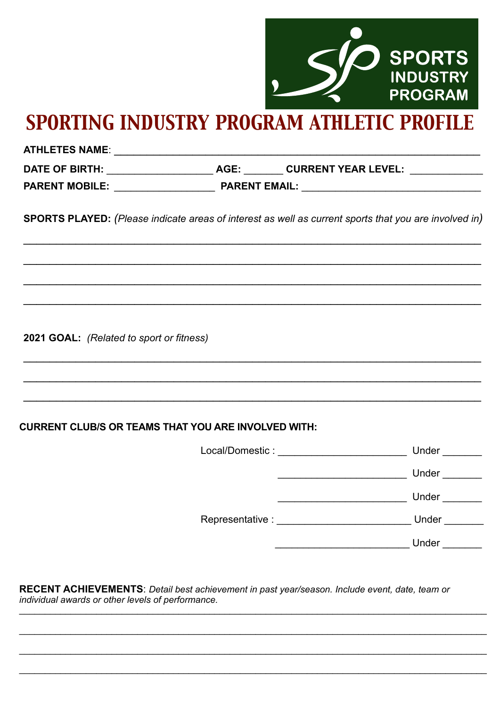

## **SPORTING INDUSTRY PROGRAM ATHLETIC PROFILE**

| <b>ATHLETES NAME:</b> |  |
|-----------------------|--|
|                       |  |

PARENT MOBILE: PARENT EMAIL:

SPORTS PLAYED: (Please indicate areas of interest as well as current sports that you are involved in)

2021 GOAL: (Related to sport or fitness)

#### **CURRENT CLUB/S OR TEAMS THAT YOU ARE INVOLVED WITH:**

|                  | Under |
|------------------|-------|
|                  | Under |
|                  | Under |
| Representative : | Under |
|                  | Under |
|                  |       |

RECENT ACHIEVEMENTS: Detail best achievement in past year/season. Include event, date, team or individual awards or other levels of performance.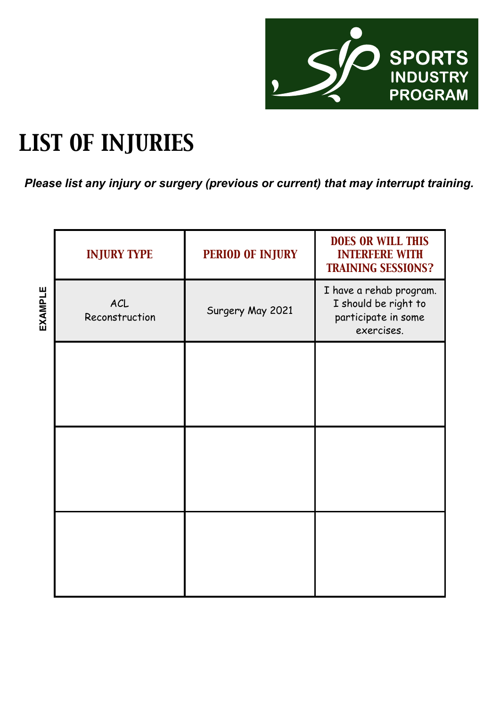

## *LIST OF INJURIES*

*Please list any injury or surgery (previous or current) that may interrupt training.* 

|                | <b>INJURY TYPE</b>    | <b>PERIOD OF INJURY</b> | <b>DOES OR WILL THIS</b><br><b>INTERFERE WITH</b><br><b>TRAINING SESSIONS?</b>       |
|----------------|-----------------------|-------------------------|--------------------------------------------------------------------------------------|
| <b>EXAMPLE</b> | ACL<br>Reconstruction | Surgery May 2021        | I have a rehab program.<br>I should be right to<br>participate in some<br>exercises. |
|                |                       |                         |                                                                                      |
|                |                       |                         |                                                                                      |
|                |                       |                         |                                                                                      |
|                |                       |                         |                                                                                      |
|                |                       |                         |                                                                                      |